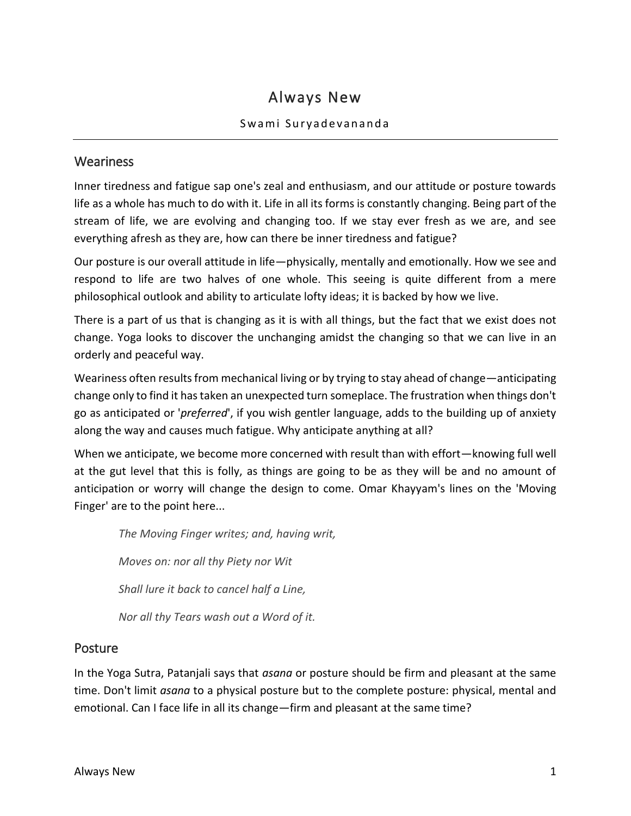# Always New

#### Swami Suryadevananda

#### **Weariness**

Inner tiredness and fatigue sap one's zeal and enthusiasm, and our attitude or posture towards life as a whole has much to do with it. Life in all its forms is constantly changing. Being part of the stream of life, we are evolving and changing too. If we stay ever fresh as we are, and see everything afresh as they are, how can there be inner tiredness and fatigue?

Our posture is our overall attitude in life—physically, mentally and emotionally. How we see and respond to life are two halves of one whole. This seeing is quite different from a mere philosophical outlook and ability to articulate lofty ideas; it is backed by how we live.

There is a part of us that is changing as it is with all things, but the fact that we exist does not change. Yoga looks to discover the unchanging amidst the changing so that we can live in an orderly and peaceful way.

Weariness often results from mechanical living or by trying to stay ahead of change—anticipating change only to find it has taken an unexpected turn someplace. The frustration when things don't go as anticipated or '*preferred*', if you wish gentler language, adds to the building up of anxiety along the way and causes much fatigue. Why anticipate anything at all?

When we anticipate, we become more concerned with result than with effort—knowing full well at the gut level that this is folly, as things are going to be as they will be and no amount of anticipation or worry will change the design to come. Omar Khayyam's lines on the 'Moving Finger' are to the point here...

*The Moving Finger writes; and, having writ, Moves on: nor all thy Piety nor Wit Shall lure it back to cancel half a Line, Nor all thy Tears wash out a Word of it.*

#### **Posture**

In the Yoga Sutra, Patanjali says that *asana* or posture should be firm and pleasant at the same time. Don't limit *asana* to a physical posture but to the complete posture: physical, mental and emotional. Can I face life in all its change—firm and pleasant at the same time?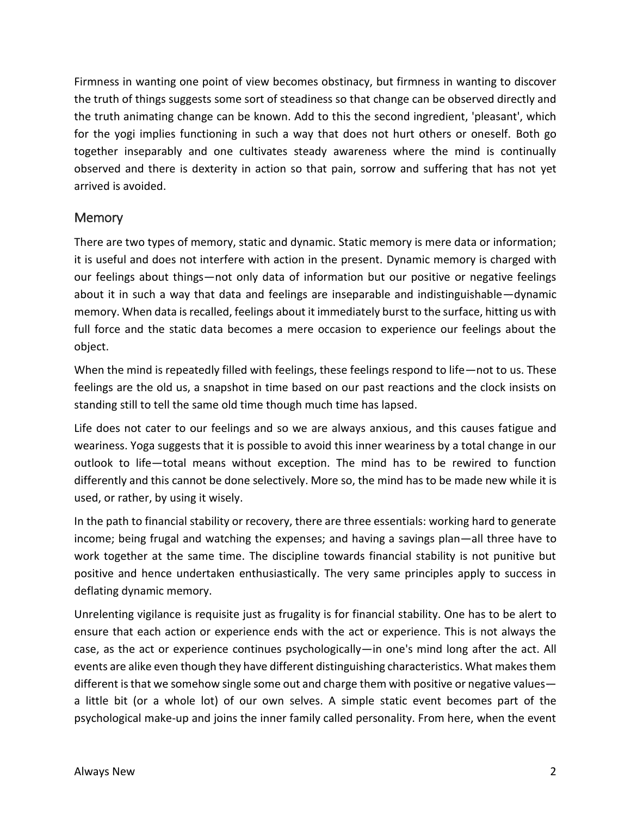Firmness in wanting one point of view becomes obstinacy, but firmness in wanting to discover the truth of things suggests some sort of steadiness so that change can be observed directly and the truth animating change can be known. Add to this the second ingredient, 'pleasant', which for the yogi implies functioning in such a way that does not hurt others or oneself. Both go together inseparably and one cultivates steady awareness where the mind is continually observed and there is dexterity in action so that pain, sorrow and suffering that has not yet arrived is avoided.

### **Memory**

There are two types of memory, static and dynamic. Static memory is mere data or information; it is useful and does not interfere with action in the present. Dynamic memory is charged with our feelings about things—not only data of information but our positive or negative feelings about it in such a way that data and feelings are inseparable and indistinguishable—dynamic memory. When data is recalled, feelings about it immediately burst to the surface, hitting us with full force and the static data becomes a mere occasion to experience our feelings about the object.

When the mind is repeatedly filled with feelings, these feelings respond to life—not to us. These feelings are the old us, a snapshot in time based on our past reactions and the clock insists on standing still to tell the same old time though much time has lapsed.

Life does not cater to our feelings and so we are always anxious, and this causes fatigue and weariness. Yoga suggests that it is possible to avoid this inner weariness by a total change in our outlook to life—total means without exception. The mind has to be rewired to function differently and this cannot be done selectively. More so, the mind has to be made new while it is used, or rather, by using it wisely.

In the path to financial stability or recovery, there are three essentials: working hard to generate income; being frugal and watching the expenses; and having a savings plan—all three have to work together at the same time. The discipline towards financial stability is not punitive but positive and hence undertaken enthusiastically. The very same principles apply to success in deflating dynamic memory.

Unrelenting vigilance is requisite just as frugality is for financial stability. One has to be alert to ensure that each action or experience ends with the act or experience. This is not always the case, as the act or experience continues psychologically—in one's mind long after the act. All events are alike even though they have different distinguishing characteristics. What makes them different is that we somehow single some out and charge them with positive or negative values a little bit (or a whole lot) of our own selves. A simple static event becomes part of the psychological make-up and joins the inner family called personality. From here, when the event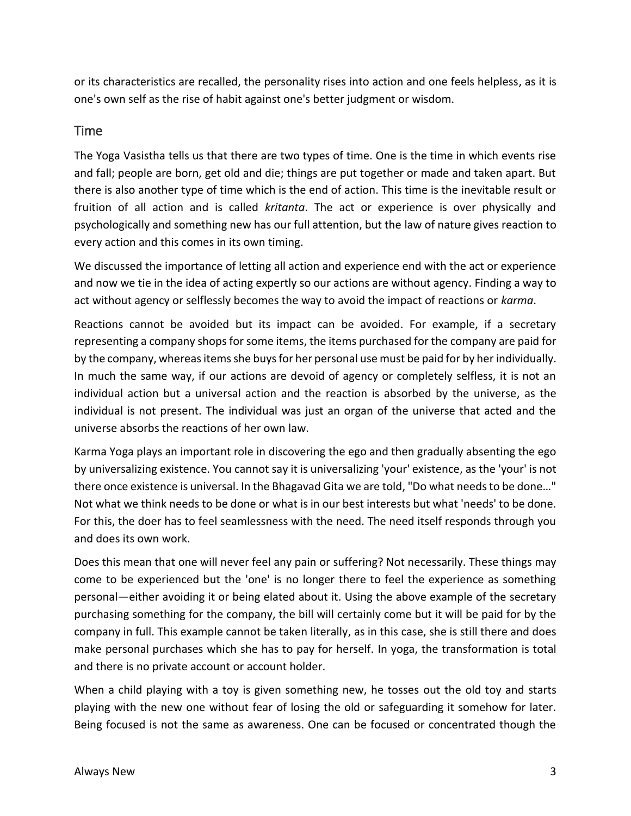or its characteristics are recalled, the personality rises into action and one feels helpless, as it is one's own self as the rise of habit against one's better judgment or wisdom.

#### Time

The Yoga Vasistha tells us that there are two types of time. One is the time in which events rise and fall; people are born, get old and die; things are put together or made and taken apart. But there is also another type of time which is the end of action. This time is the inevitable result or fruition of all action and is called *kritanta*. The act or experience is over physically and psychologically and something new has our full attention, but the law of nature gives reaction to every action and this comes in its own timing.

We discussed the importance of letting all action and experience end with the act or experience and now we tie in the idea of acting expertly so our actions are without agency. Finding a way to act without agency or selflessly becomes the way to avoid the impact of reactions or *karma*.

Reactions cannot be avoided but its impact can be avoided. For example, if a secretary representing a company shops for some items, the items purchased for the company are paid for by the company, whereas items she buys for her personal use must be paid for by her individually. In much the same way, if our actions are devoid of agency or completely selfless, it is not an individual action but a universal action and the reaction is absorbed by the universe, as the individual is not present. The individual was just an organ of the universe that acted and the universe absorbs the reactions of her own law.

Karma Yoga plays an important role in discovering the ego and then gradually absenting the ego by universalizing existence. You cannot say it is universalizing 'your' existence, as the 'your' is not there once existence is universal. In the Bhagavad Gita we are told, "Do what needs to be done…" Not what we think needs to be done or what is in our best interests but what 'needs' to be done. For this, the doer has to feel seamlessness with the need. The need itself responds through you and does its own work.

Does this mean that one will never feel any pain or suffering? Not necessarily. These things may come to be experienced but the 'one' is no longer there to feel the experience as something personal—either avoiding it or being elated about it. Using the above example of the secretary purchasing something for the company, the bill will certainly come but it will be paid for by the company in full. This example cannot be taken literally, as in this case, she is still there and does make personal purchases which she has to pay for herself. In yoga, the transformation is total and there is no private account or account holder.

When a child playing with a toy is given something new, he tosses out the old toy and starts playing with the new one without fear of losing the old or safeguarding it somehow for later. Being focused is not the same as awareness. One can be focused or concentrated though the